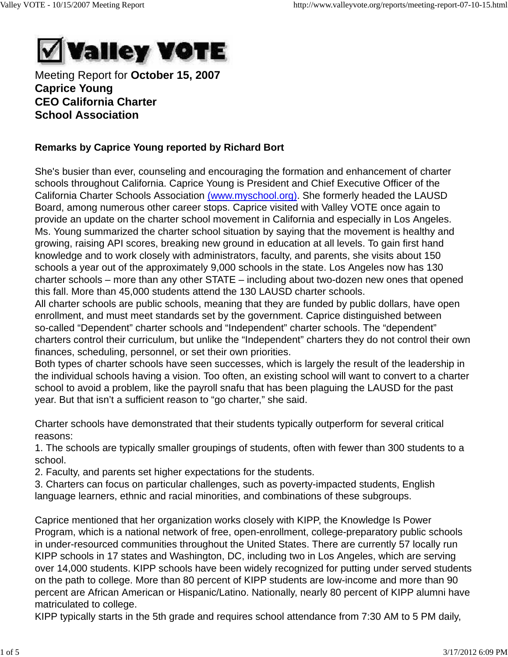

Meeting Report for **October 15, 2007 Caprice Young CEO California Charter School Association**

## **Remarks by Caprice Young reported by Richard Bort**

She's busier than ever, counseling and encouraging the formation and enhancement of charter schools throughout California. Caprice Young is President and Chief Executive Officer of the California Charter Schools Association (www.myschool.org). She formerly headed the LAUSD Board, among numerous other career stops. Caprice visited with Valley VOTE once again to provide an update on the charter school movement in California and especially in Los Angeles. Ms. Young summarized the charter school situation by saying that the movement is healthy and growing, raising API scores, breaking new ground in education at all levels. To gain first hand knowledge and to work closely with administrators, faculty, and parents, she visits about 150 schools a year out of the approximately 9,000 schools in the state. Los Angeles now has 130 charter schools – more than any other STATE – including about two-dozen new ones that opened this fall. More than 45,000 students attend the 130 LAUSD charter schools.

All charter schools are public schools, meaning that they are funded by public dollars, have open enrollment, and must meet standards set by the government. Caprice distinguished between so-called "Dependent" charter schools and "Independent" charter schools. The "dependent" charters control their curriculum, but unlike the "Independent" charters they do not control their own finances, scheduling, personnel, or set their own priorities.

Both types of charter schools have seen successes, which is largely the result of the leadership in the individual schools having a vision. Too often, an existing school will want to convert to a charter school to avoid a problem, like the payroll snafu that has been plaguing the LAUSD for the past year. But that isn't a sufficient reason to "go charter," she said.

Charter schools have demonstrated that their students typically outperform for several critical reasons:

1. The schools are typically smaller groupings of students, often with fewer than 300 students to a school.

2. Faculty, and parents set higher expectations for the students.

3. Charters can focus on particular challenges, such as poverty-impacted students, English language learners, ethnic and racial minorities, and combinations of these subgroups.

Caprice mentioned that her organization works closely with KIPP, the Knowledge Is Power Program, which is a national network of free, open-enrollment, college-preparatory public schools in under-resourced communities throughout the United States. There are currently 57 locally run KIPP schools in 17 states and Washington, DC, including two in Los Angeles, which are serving over 14,000 students. KIPP schools have been widely recognized for putting under served students on the path to college. More than 80 percent of KIPP students are low-income and more than 90 percent are African American or Hispanic/Latino. Nationally, nearly 80 percent of KIPP alumni have matriculated to college.

KIPP typically starts in the 5th grade and requires school attendance from 7:30 AM to 5 PM daily,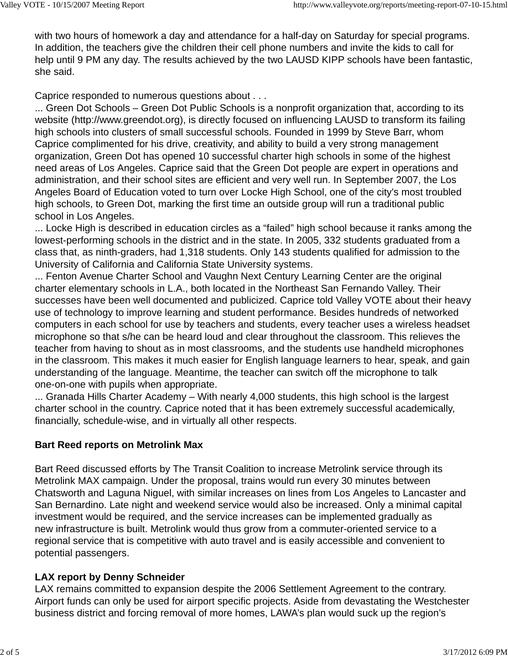with two hours of homework a day and attendance for a half-day on Saturday for special programs. In addition, the teachers give the children their cell phone numbers and invite the kids to call for help until 9 PM any day. The results achieved by the two LAUSD KIPP schools have been fantastic, she said.

Caprice responded to numerous questions about . . .

... Green Dot Schools – Green Dot Public Schools is a nonprofit organization that, according to its website (http://www.greendot.org), is directly focused on influencing LAUSD to transform its failing high schools into clusters of small successful schools. Founded in 1999 by Steve Barr, whom Caprice complimented for his drive, creativity, and ability to build a very strong management organization, Green Dot has opened 10 successful charter high schools in some of the highest need areas of Los Angeles. Caprice said that the Green Dot people are expert in operations and administration, and their school sites are efficient and very well run. In September 2007, the Los Angeles Board of Education voted to turn over Locke High School, one of the city's most troubled high schools, to Green Dot, marking the first time an outside group will run a traditional public school in Los Angeles.

... Locke High is described in education circles as a "failed" high school because it ranks among the lowest-performing schools in the district and in the state. In 2005, 332 students graduated from a class that, as ninth-graders, had 1,318 students. Only 143 students qualified for admission to the University of California and California State University systems.

... Fenton Avenue Charter School and Vaughn Next Century Learning Center are the original charter elementary schools in L.A., both located in the Northeast San Fernando Valley. Their successes have been well documented and publicized. Caprice told Valley VOTE about their heavy use of technology to improve learning and student performance. Besides hundreds of networked computers in each school for use by teachers and students, every teacher uses a wireless headset microphone so that s/he can be heard loud and clear throughout the classroom. This relieves the teacher from having to shout as in most classrooms, and the students use handheld microphones in the classroom. This makes it much easier for English language learners to hear, speak, and gain understanding of the language. Meantime, the teacher can switch off the microphone to talk one-on-one with pupils when appropriate.

... Granada Hills Charter Academy – With nearly 4,000 students, this high school is the largest charter school in the country. Caprice noted that it has been extremely successful academically, financially, schedule-wise, and in virtually all other respects.

# **Bart Reed reports on Metrolink Max**

Bart Reed discussed efforts by The Transit Coalition to increase Metrolink service through its Metrolink MAX campaign. Under the proposal, trains would run every 30 minutes between Chatsworth and Laguna Niguel, with similar increases on lines from Los Angeles to Lancaster and San Bernardino. Late night and weekend service would also be increased. Only a minimal capital investment would be required, and the service increases can be implemented gradually as new infrastructure is built. Metrolink would thus grow from a commuter-oriented service to a regional service that is competitive with auto travel and is easily accessible and convenient to potential passengers.

### **LAX report by Denny Schneider**

LAX remains committed to expansion despite the 2006 Settlement Agreement to the contrary. Airport funds can only be used for airport specific projects. Aside from devastating the Westchester business district and forcing removal of more homes, LAWA's plan would suck up the region's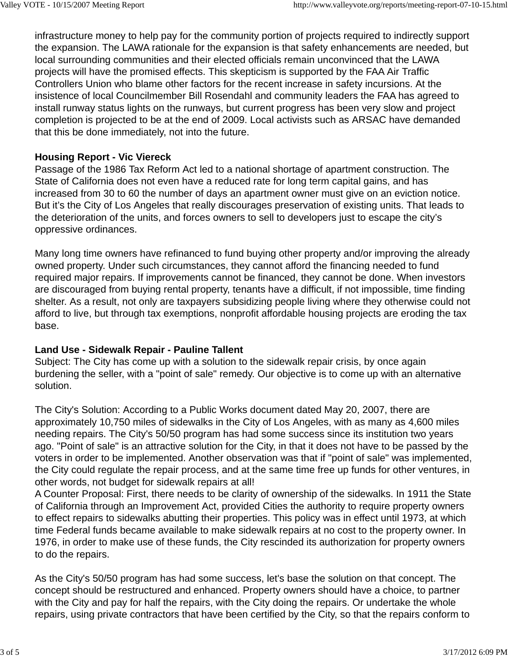infrastructure money to help pay for the community portion of projects required to indirectly support the expansion. The LAWA rationale for the expansion is that safety enhancements are needed, but local surrounding communities and their elected officials remain unconvinced that the LAWA projects will have the promised effects. This skepticism is supported by the FAA Air Traffic Controllers Union who blame other factors for the recent increase in safety incursions. At the insistence of local Councilmember Bill Rosendahl and community leaders the FAA has agreed to install runway status lights on the runways, but current progress has been very slow and project completion is projected to be at the end of 2009. Local activists such as ARSAC have demanded that this be done immediately, not into the future.

## **Housing Report - Vic Viereck**

Passage of the 1986 Tax Reform Act led to a national shortage of apartment construction. The State of California does not even have a reduced rate for long term capital gains, and has increased from 30 to 60 the number of days an apartment owner must give on an eviction notice. But it's the City of Los Angeles that really discourages preservation of existing units. That leads to the deterioration of the units, and forces owners to sell to developers just to escape the city's oppressive ordinances.

Many long time owners have refinanced to fund buying other property and/or improving the already owned property. Under such circumstances, they cannot afford the financing needed to fund required major repairs. If improvements cannot be financed, they cannot be done. When investors are discouraged from buying rental property, tenants have a difficult, if not impossible, time finding shelter. As a result, not only are taxpayers subsidizing people living where they otherwise could not afford to live, but through tax exemptions, nonprofit affordable housing projects are eroding the tax base.

# **Land Use - Sidewalk Repair - Pauline Tallent**

Subject: The City has come up with a solution to the sidewalk repair crisis, by once again burdening the seller, with a "point of sale" remedy. Our objective is to come up with an alternative solution.

The City's Solution: According to a Public Works document dated May 20, 2007, there are approximately 10,750 miles of sidewalks in the City of Los Angeles, with as many as 4,600 miles needing repairs. The City's 50/50 program has had some success since its institution two years ago. "Point of sale" is an attractive solution for the City, in that it does not have to be passed by the voters in order to be implemented. Another observation was that if "point of sale" was implemented, the City could regulate the repair process, and at the same time free up funds for other ventures, in other words, not budget for sidewalk repairs at all!

A Counter Proposal: First, there needs to be clarity of ownership of the sidewalks. In 1911 the State of California through an Improvement Act, provided Cities the authority to require property owners to effect repairs to sidewalks abutting their properties. This policy was in effect until 1973, at which time Federal funds became available to make sidewalk repairs at no cost to the property owner. In 1976, in order to make use of these funds, the City rescinded its authorization for property owners to do the repairs.

As the City's 50/50 program has had some success, let's base the solution on that concept. The concept should be restructured and enhanced. Property owners should have a choice, to partner with the City and pay for half the repairs, with the City doing the repairs. Or undertake the whole repairs, using private contractors that have been certified by the City, so that the repairs conform to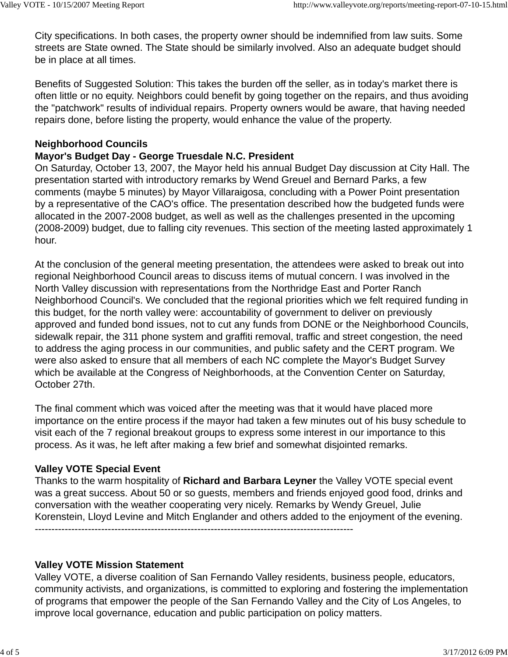City specifications. In both cases, the property owner should be indemnified from law suits. Some streets are State owned. The State should be similarly involved. Also an adequate budget should be in place at all times.

Benefits of Suggested Solution: This takes the burden off the seller, as in today's market there is often little or no equity. Neighbors could benefit by going together on the repairs, and thus avoiding the "patchwork" results of individual repairs. Property owners would be aware, that having needed repairs done, before listing the property, would enhance the value of the property.

#### **Neighborhood Councils**

### **Mayor's Budget Day - George Truesdale N.C. President**

On Saturday, October 13, 2007, the Mayor held his annual Budget Day discussion at City Hall. The presentation started with introductory remarks by Wend Greuel and Bernard Parks, a few comments (maybe 5 minutes) by Mayor Villaraigosa, concluding with a Power Point presentation by a representative of the CAO's office. The presentation described how the budgeted funds were allocated in the 2007-2008 budget, as well as well as the challenges presented in the upcoming (2008-2009) budget, due to falling city revenues. This section of the meeting lasted approximately 1 hour.

At the conclusion of the general meeting presentation, the attendees were asked to break out into regional Neighborhood Council areas to discuss items of mutual concern. I was involved in the North Valley discussion with representations from the Northridge East and Porter Ranch Neighborhood Council's. We concluded that the regional priorities which we felt required funding in this budget, for the north valley were: accountability of government to deliver on previously approved and funded bond issues, not to cut any funds from DONE or the Neighborhood Councils, sidewalk repair, the 311 phone system and graffiti removal, traffic and street congestion, the need to address the aging process in our communities, and public safety and the CERT program. We were also asked to ensure that all members of each NC complete the Mayor's Budget Survey which be available at the Congress of Neighborhoods, at the Convention Center on Saturday, October 27th.

The final comment which was voiced after the meeting was that it would have placed more importance on the entire process if the mayor had taken a few minutes out of his busy schedule to visit each of the 7 regional breakout groups to express some interest in our importance to this process. As it was, he left after making a few brief and somewhat disjointed remarks.

### **Valley VOTE Special Event**

Thanks to the warm hospitality of **Richard and Barbara Leyner** the Valley VOTE special event was a great success. About 50 or so guests, members and friends enjoyed good food, drinks and conversation with the weather cooperating very nicely. Remarks by Wendy Greuel, Julie Korenstein, Lloyd Levine and Mitch Englander and others added to the enjoyment of the evening. ------------------------------------------------------------------------------------------------

#### **Valley VOTE Mission Statement**

Valley VOTE, a diverse coalition of San Fernando Valley residents, business people, educators, community activists, and organizations, is committed to exploring and fostering the implementation of programs that empower the people of the San Fernando Valley and the City of Los Angeles, to improve local governance, education and public participation on policy matters.